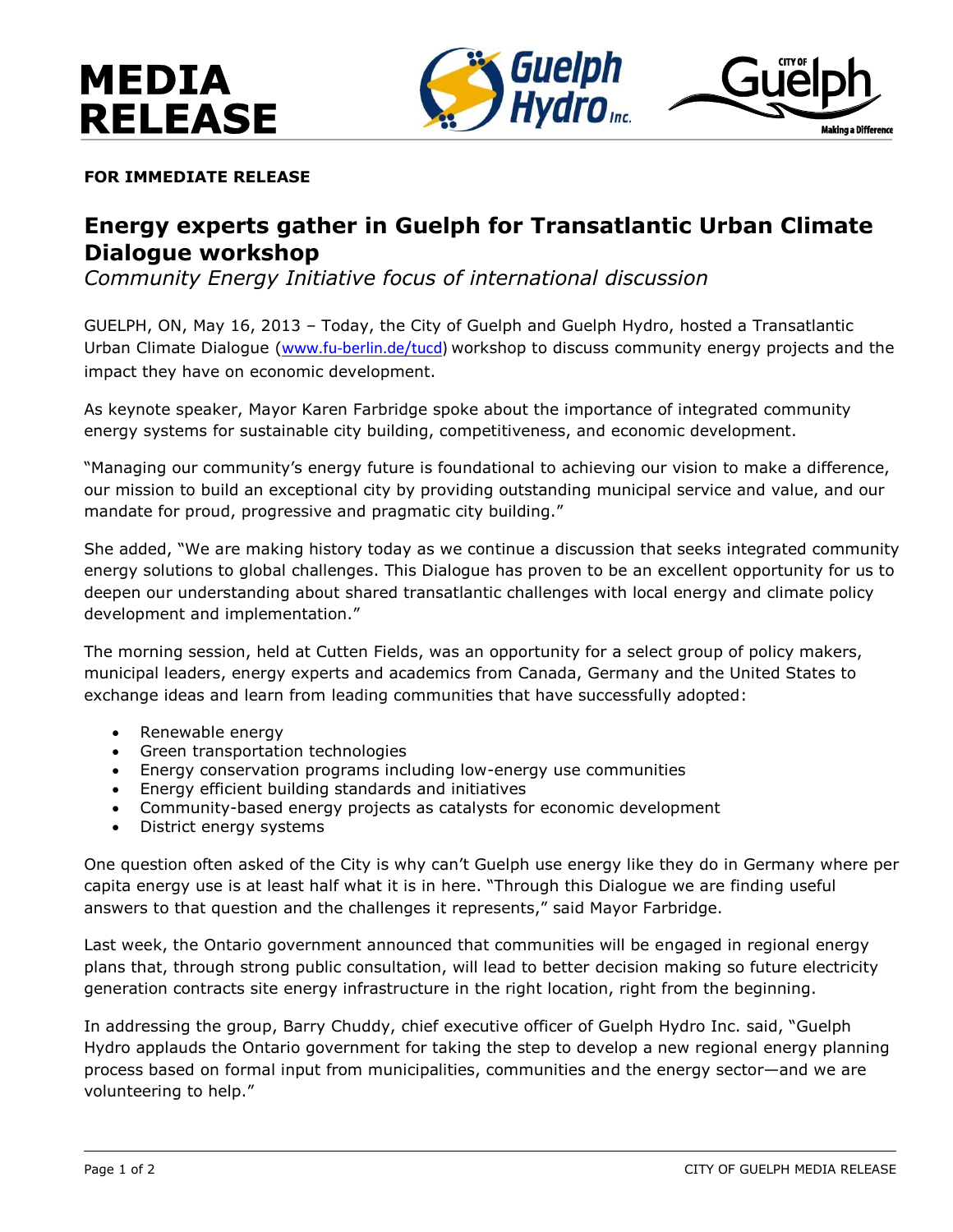



**FOR IMMEDIATE RELEASE**

## **Energy experts gather in Guelph for Transatlantic Urban Climate Dialogue workshop**

*Community Energy Initiative focus of international discussion* 

GUELPH, ON, May 16, 2013 – Today, the City of Guelph and Guelph Hydro, hosted a Transatlantic Urban Climate Dialogue ([www.fu-berlin.de/tucd\)](http://www.fu-berlin.de/tucd) workshop to discuss community energy projects and the impact they have on economic development.

As keynote speaker, Mayor Karen Farbridge spoke about the importance of integrated community energy systems for sustainable city building, competitiveness, and economic development.

"Managing our community's energy future is foundational to achieving our vision to make a difference, our mission to build an exceptional city by providing outstanding municipal service and value, and our mandate for proud, progressive and pragmatic city building."

She added, "We are making history today as we continue a discussion that seeks integrated community energy solutions to global challenges. This Dialogue has proven to be an excellent opportunity for us to deepen our understanding about shared transatlantic challenges with local energy and climate policy development and implementation."

The morning session, held at Cutten Fields, was an opportunity for a select group of policy makers, municipal leaders, energy experts and academics from Canada, Germany and the United States to exchange ideas and learn from leading communities that have successfully adopted:

- Renewable energy
- Green transportation technologies
- Energy conservation programs including low-energy use communities
- Energy efficient building standards and initiatives
- Community-based energy projects as catalysts for economic development
- District energy systems

One question often asked of the City is why can't Guelph use energy like they do in Germany where per capita energy use is at least half what it is in here. "Through this Dialogue we are finding useful answers to that question and the challenges it represents," said Mayor Farbridge.

Last week, the Ontario government announced that communities will be engaged in regional energy plans that, through strong public consultation, will lead to better decision making so future electricity generation contracts site energy infrastructure in the right location, right from the beginning.

In addressing the group, Barry Chuddy, chief executive officer of Guelph Hydro Inc. said, "Guelph Hydro applauds the Ontario government for taking the step to develop a new regional energy planning process based on formal input from municipalities, communities and the energy sector—and we are volunteering to help."